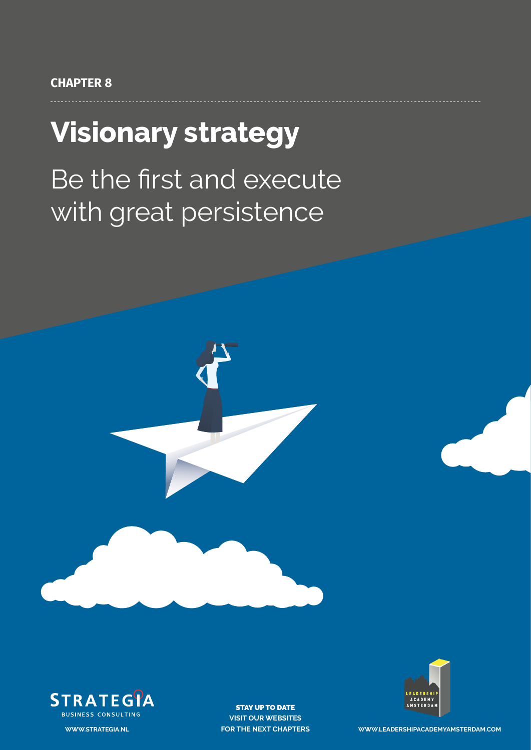# **Visionary strategy**

# Be the first and execute with great persistence





STAY UP TO DATE **VISIT OUR WEBSITES**



**FOR THE NEXT CHAPTERS WWW.LEADERSHIPACADEMYAMSTERDAM.COM**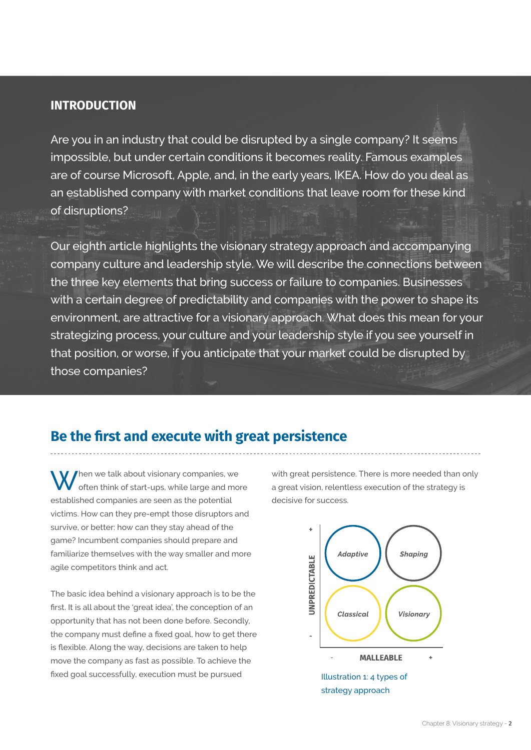#### **INTRODUCTION**

Are you in an industry that could be disrupted by a single company? It seems impossible, but under certain conditions it becomes reality. Famous examples are of course Microsoft, Apple, and, in the early years, IKEA. How do you deal as an established company with market conditions that leave room for these kind of disruptions?

Our eighth article highlights the visionary strategy approach and accompanying company culture and leadership style. We will describe the connections between the three key elements that bring success or failure to companies. Businesses with a certain degree of predictability and companies with the power to shape its environment, are attractive for a visionary approach. What does this mean for your strategizing process, your culture and your leadership style if you see yourself in that position, or worse, if you anticipate that your market could be disrupted by those companies?

## **Be the first and execute with great persistence**

hen we talk about visionary companies, we often think of start-ups, while large and more established companies are seen as the potential victims. How can they pre-empt those disruptors and survive, or better: how can they stay ahead of the game? Incumbent companies should prepare and familiarize themselves with the way smaller and more agile competitors think and act.

The basic idea behind a visionary approach is to be the first. It is all about the 'great idea', the conception of an opportunity that has not been done before. Secondly, the company must define a fixed goal, how to get there is flexible. Along the way, decisions are taken to help move the company as fast as possible. To achieve the fixed goal successfully, execution must be pursued

with great persistence. There is more needed than only a great vision, relentless execution of the strategy is decisive for success.

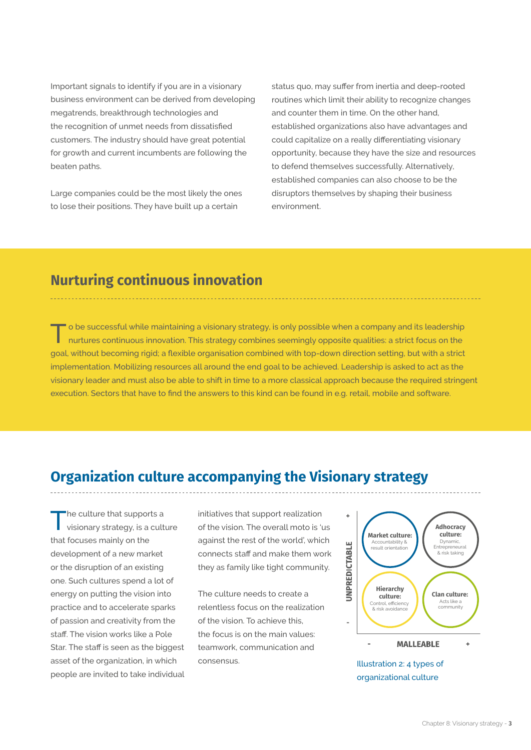Important signals to identify if you are in a visionary business environment can be derived from developing megatrends, breakthrough technologies and the recognition of unmet needs from dissatisfied customers. The industry should have great potential for growth and current incumbents are following the beaten paths.

Large companies could be the most likely the ones to lose their positions. They have built up a certain

status quo, may suffer from inertia and deep-rooted routines which limit their ability to recognize changes and counter them in time. On the other hand, established organizations also have advantages and could capitalize on a really differentiating visionary opportunity, because they have the size and resources to defend themselves successfully. Alternatively, established companies can also choose to be the disruptors themselves by shaping their business environment.

# **Nurturing continuous innovation**

T o be successful while maintaining a visionary strategy, is only possible when a company and its leadership nurtures continuous innovation. This strategy combines seemingly opposite qualities: a strict focus on the goal, without becoming rigid; a flexible organisation combined with top-down direction setting, but with a strict implementation. Mobilizing resources all around the end goal to be achieved. Leadership is asked to act as the visionary leader and must also be able to shift in time to a more classical approach because the required stringent execution. Sectors that have to find the answers to this kind can be found in e.g. retail, mobile and software.

# **Organization culture accompanying the Visionary strategy**

The culture that supports a<br>visionary strategy, is a culture that focuses mainly on the development of a new market or the disruption of an existing one. Such cultures spend a lot of energy on putting the vision into practice and to accelerate sparks of passion and creativity from the staff. The vision works like a Pole Star. The staff is seen as the biggest asset of the organization, in which people are invited to take individual

initiatives that support realization of the vision. The overall moto is 'us against the rest of the world', which connects staff and make them work they as family like tight community.

The culture needs to create a relentless focus on the realization of the vision. To achieve this, the focus is on the main values: teamwork, communication and consensus.



Illustration 2: 4 types of organizational culture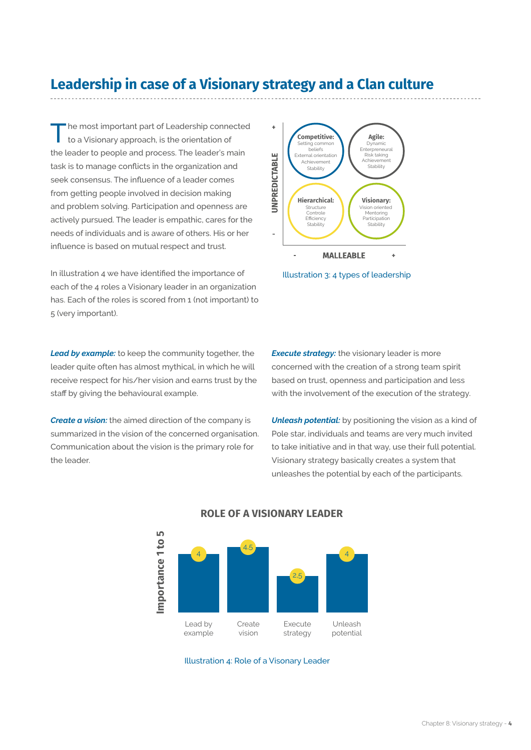## **Leadership in case of a Visionary strategy and a Clan culture**

Ine most important part of Leadership connected to a Visionary approach, is the orientation of the leader to people and process. The leader's main task is to manage conflicts in the organization and seek consensus. The influence of a leader comes from getting people involved in decision making and problem solving. Participation and openness are actively pursued. The leader is empathic, cares for the needs of individuals and is aware of others. His or her influence is based on mutual respect and trust.

In illustration 4 we have identified the importance of each of the 4 roles a Visionary leader in an organization has. Each of the roles is scored from 1 (not important) to 5 (very important).

*Lead by example:* to keep the community together, the leader quite often has almost mythical, in which he will receive respect for his/her vision and earns trust by the staff by giving the behavioural example.

*Create a vision:* the aimed direction of the company is summarized in the vision of the concerned organisation. Communication about the vision is the primary role for the leader.

**Execute strategy:** the visionary leader is more concerned with the creation of a strong team spirit based on trust, openness and participation and less with the involvement of the execution of the strategy.

**Agile:** Dynamic Enterpreneural Risk taking Achieveme **Stability** 

**Visionary:** sion oriente Mentoring Participation Stability

Illustration 3: 4 types of leadership

**MALLEABLE** 

**Competitive:** Setting common beliefs **External orientation** Achievement **Stability** 

**Hierarchical:** Structure Controle **Efficiency** Stability

*Unleash potential:* by positioning the vision as a kind of Pole star, individuals and teams are very much invited to take initiative and in that way, use their full potential. Visionary strategy basically creates a system that unleashes the potential by each of the participants.



#### **ROLE OF A VISIONARY LEADER**

**-**

**JNPREDICTABLE** 

÷

Illustration 4: Role of a Visonary Leader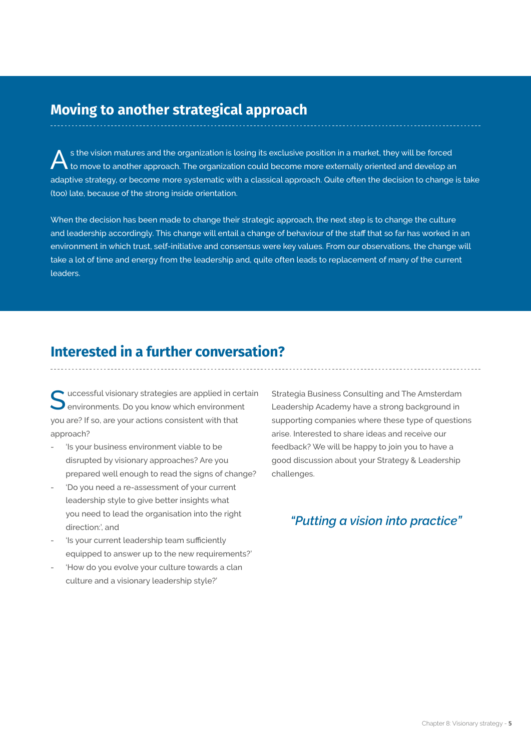#### **Moving to another strategical approach**

 $\bigwedge$  s the vision matures and the organization is losing its exclusive position in a market, they will be forced<br>to move to another approach. The organization could become more externally oriented and develop an adaptive strategy, or become more systematic with a classical approach. Quite often the decision to change is take (too) late, because of the strong inside orientation.

When the decision has been made to change their strategic approach, the next step is to change the culture and leadership accordingly. This change will entail a change of behaviour of the staff that so far has worked in an environment in which trust, self-initiative and consensus were key values. From our observations, the change will take a lot of time and energy from the leadership and, quite often leads to replacement of many of the current leaders.

#### **Interested in a further conversation?**

 $\bullet$  uccessful visionary strategies are applied in certain environments. Do you know which environment you are? If so, are your actions consistent with that approach?

- 'Is your business environment viable to be disrupted by visionary approaches? Are you prepared well enough to read the signs of change?
- 'Do you need a re-assessment of your current leadership style to give better insights what you need to lead the organisation into the right direction:', and
- 'Is your current leadership team sufficiently equipped to answer up to the new requirements?'
- 'How do you evolve your culture towards a clan culture and a visionary leadership style?'

Strategia Business Consulting and The Amsterdam Leadership Academy have a strong background in supporting companies where these type of questions arise. Interested to share ideas and receive our feedback? We will be happy to join you to have a good discussion about your Strategy & Leadership challenges.

#### *"Putting a vision into practice"*